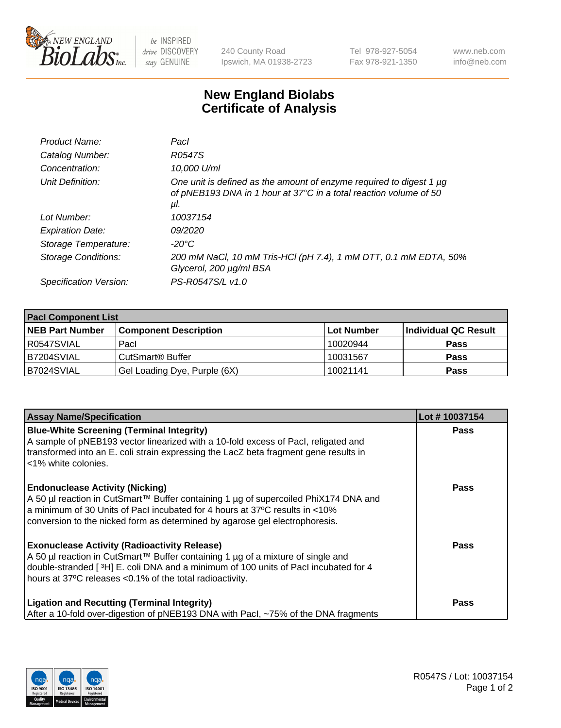

 $be$  INSPIRED drive DISCOVERY stay GENUINE

240 County Road Ipswich, MA 01938-2723 Tel 978-927-5054 Fax 978-921-1350 www.neb.com info@neb.com

## **New England Biolabs Certificate of Analysis**

| Product Name:           | Pacl                                                                                                                                            |
|-------------------------|-------------------------------------------------------------------------------------------------------------------------------------------------|
| Catalog Number:         | R0547S                                                                                                                                          |
| Concentration:          | 10,000 U/ml                                                                                                                                     |
| Unit Definition:        | One unit is defined as the amount of enzyme required to digest 1 µg<br>of pNEB193 DNA in 1 hour at 37°C in a total reaction volume of 50<br>μl. |
| Lot Number:             | 10037154                                                                                                                                        |
| <b>Expiration Date:</b> | 09/2020                                                                                                                                         |
| Storage Temperature:    | $-20^{\circ}$ C                                                                                                                                 |
| Storage Conditions:     | 200 mM NaCl, 10 mM Tris-HCl (pH 7.4), 1 mM DTT, 0.1 mM EDTA, 50%<br>Glycerol, 200 µg/ml BSA                                                     |
| Specification Version:  | PS-R0547S/L v1.0                                                                                                                                |
|                         |                                                                                                                                                 |

| <b>Pacl Component List</b> |                              |            |                      |  |  |
|----------------------------|------------------------------|------------|----------------------|--|--|
| <b>NEB Part Number</b>     | <b>Component Description</b> | Lot Number | Individual QC Result |  |  |
| R0547SVIAL                 | Pacl                         | 10020944   | <b>Pass</b>          |  |  |
| B7204SVIAL                 | l CutSmart® Buffer           | 10031567   | <b>Pass</b>          |  |  |
| B7024SVIAL                 | Gel Loading Dye, Purple (6X) | 10021141   | <b>Pass</b>          |  |  |

| <b>Assay Name/Specification</b>                                                                                                                                                                                                                                                             | Lot #10037154 |
|---------------------------------------------------------------------------------------------------------------------------------------------------------------------------------------------------------------------------------------------------------------------------------------------|---------------|
| <b>Blue-White Screening (Terminal Integrity)</b><br>A sample of pNEB193 vector linearized with a 10-fold excess of Pacl, religated and<br>transformed into an E. coli strain expressing the LacZ beta fragment gene results in<br><1% white colonies.                                       | <b>Pass</b>   |
| <b>Endonuclease Activity (Nicking)</b><br>A 50 µl reaction in CutSmart™ Buffer containing 1 µg of supercoiled PhiX174 DNA and<br>a minimum of 30 Units of Pacl incubated for 4 hours at 37°C results in <10%<br>conversion to the nicked form as determined by agarose gel electrophoresis. | Pass          |
| <b>Exonuclease Activity (Radioactivity Release)</b><br>A 50 µl reaction in CutSmart™ Buffer containing 1 µg of a mixture of single and<br>double-stranded [3H] E. coli DNA and a minimum of 100 units of Pacl incubated for 4<br>hours at 37°C releases <0.1% of the total radioactivity.   | <b>Pass</b>   |
| <b>Ligation and Recutting (Terminal Integrity)</b><br>After a 10-fold over-digestion of pNEB193 DNA with Pacl, ~75% of the DNA fragments                                                                                                                                                    | Pass          |